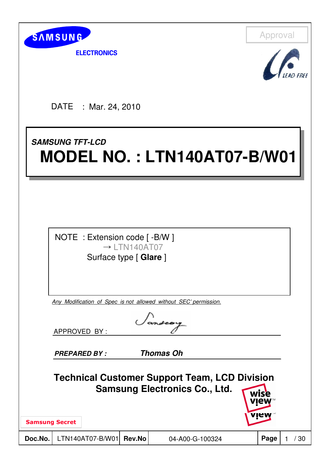

**ELECTRONICS** 

Approval



DATE : Mar. 24, 2010

# **SAMSUNG TFT-LCD SAMSUNG TFT-LCD MODEL NO. : LTN140AT07-B/W01 MODEL NO. : LTN140AT07-B/W01**

NOTE : Extension code [ -B/W ]  $\rightarrow$  | TN140AT07 Surface type [ **Glare** ]

Any Modification of Spec is not allowed without SEC' permission.

APPROVED BY :

**PREPARED BY : Thomas Oh**

**Technical Customer Support Team, LCD Division Samsung Electronics Co., Ltd.**wise

Samsung Secret

**Doc.No.** LTN140AT07-B/W01 **Rev.No** 04-A00-G-100324 **Page** 1 / 30



viet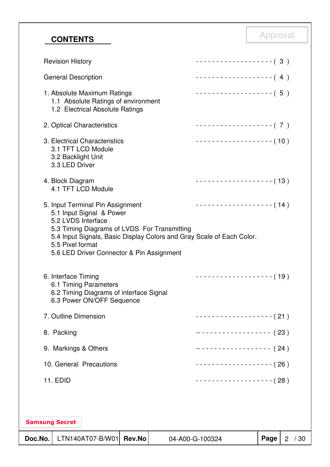# Approval **CONTENTS**

| Doc.No. |                                        | LTN140AT07-B/W01                                                                                      | <b>Rev.No</b> |                                              | 04-A00-G-100324                                                       | Page | $\overline{2}$ | /30 |
|---------|----------------------------------------|-------------------------------------------------------------------------------------------------------|---------------|----------------------------------------------|-----------------------------------------------------------------------|------|----------------|-----|
|         | <b>Samsung Secret</b>                  |                                                                                                       |               |                                              |                                                                       |      |                |     |
|         |                                        |                                                                                                       |               |                                              |                                                                       |      |                |     |
|         | <b>11. EDID</b>                        |                                                                                                       |               |                                              | - - - - - - - - - - - - - - - - - - (28)                              |      |                |     |
|         |                                        | 10. General Precautions                                                                               |               |                                              | -------------------- (26)                                             |      |                |     |
|         | 9. Markings & Others                   |                                                                                                       |               |                                              | ------------------- (24)                                              |      |                |     |
|         | 8. Packing                             |                                                                                                       |               |                                              | ------------------- (23)                                              |      |                |     |
|         | 7. Outline Dimension                   |                                                                                                       |               |                                              | ------------------- (21 )                                             |      |                |     |
|         | 6. Interface Timing                    | 6.1 Timing Parameters<br>6.2 Timing Diagrams of interface Signal<br>6.3 Power ON/OFF Sequence         |               |                                              | ------------------- (19)                                              |      |                |     |
|         | 5.2 LVDS Interface<br>5.5 Pixel format | 5.6 LED Driver Connector & Pin Assignment                                                             |               | 5.3 Timing Diagrams of LVDS For Transmitting | 5.4 Input Signals, Basic Display Colors and Gray Scale of Each Color. |      |                |     |
|         |                                        | 5. Input Terminal Pin Assignment<br>5.1 Input Signal & Power                                          |               |                                              | ------------------- (14)                                              |      |                |     |
|         | 4. Block Diagram                       | 4.1 TFT LCD Module                                                                                    |               |                                              | ------------------- (13)                                              |      |                |     |
|         | 3.2 Backlight Unit<br>3.3 LED Driver   | 3. Electrical Characteristics<br>3.1 TFT LCD Module                                                   |               |                                              | -------------------- (10)                                             |      |                |     |
|         |                                        | 2. Optical Characteristics                                                                            |               |                                              | -------------------- (7)                                              |      |                |     |
|         |                                        | 1. Absolute Maximum Ratings<br>1.1 Absolute Ratings of environment<br>1.2 Electrical Absolute Ratings |               |                                              | ------------------- (5)                                               |      |                |     |
|         | <b>General Description</b>             |                                                                                                       |               |                                              | ------------------- (4)                                               |      |                |     |
|         | <b>Revision History</b>                |                                                                                                       |               |                                              | ------------------- (3)                                               |      |                |     |
|         |                                        |                                                                                                       |               |                                              |                                                                       |      |                |     |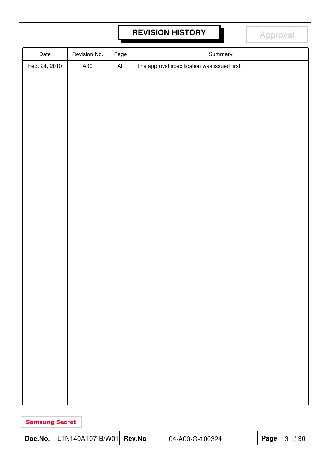# **REVISION HISTORY Approval**

| Date                  | Revision No.     | Page           |        |                                              | Summary |      |        |
|-----------------------|------------------|----------------|--------|----------------------------------------------|---------|------|--------|
| Feb. 24, 2010         | A00              | $\mathsf{All}$ |        | The approval specification was issued first. |         |      |        |
|                       |                  |                |        |                                              |         |      |        |
|                       |                  |                |        |                                              |         |      |        |
|                       |                  |                |        |                                              |         |      |        |
|                       |                  |                |        |                                              |         |      |        |
|                       |                  |                |        |                                              |         |      |        |
|                       |                  |                |        |                                              |         |      |        |
|                       |                  |                |        |                                              |         |      |        |
|                       |                  |                |        |                                              |         |      |        |
|                       |                  |                |        |                                              |         |      |        |
|                       |                  |                |        |                                              |         |      |        |
|                       |                  |                |        |                                              |         |      |        |
|                       |                  |                |        |                                              |         |      |        |
|                       |                  |                |        |                                              |         |      |        |
|                       |                  |                |        |                                              |         |      |        |
|                       |                  |                |        |                                              |         |      |        |
|                       |                  |                |        |                                              |         |      |        |
|                       |                  |                |        |                                              |         |      |        |
|                       |                  |                |        |                                              |         |      |        |
|                       |                  |                |        |                                              |         |      |        |
|                       |                  |                |        |                                              |         |      |        |
|                       |                  |                |        |                                              |         |      |        |
|                       |                  |                |        |                                              |         |      |        |
|                       |                  |                |        |                                              |         |      |        |
|                       |                  |                |        |                                              |         |      |        |
|                       |                  |                |        |                                              |         |      |        |
|                       |                  |                |        |                                              |         |      |        |
| <b>Samsung Secret</b> |                  |                |        |                                              |         |      |        |
| Doc.No.               | LTN140AT07-B/W01 |                | Rev.No | 04-A00-G-100324                              |         | Page | 3 / 30 |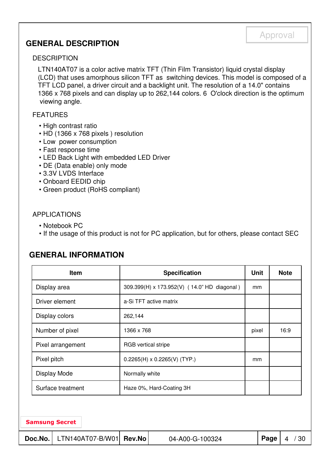### **GENERAL DESCRIPTION**

#### **DESCRIPTION**

LTN140AT07 is a color active matrix TFT (Thin Film Transistor) liquid crystal display (LCD) that uses amorphous silicon TFT as switching devices. This model is composed of a TFT LCD panel, a driver circuit and a backlight unit. The resolution of a 14.0" contains 1366 x 768 pixels and can display up to 262,144 colors. 6 O'clock direction is the optimum viewing angle.

#### FEATURES

- High contrast ratio
- HD (1366 x 768 pixels ) resolution
- Low power consumption
- Fast response time
- LED Back Light with embedded LED Driver
- DE (Data enable) only mode
- 3.3V LVDS Interface
- Onboard EEDID chip
- Green product (RoHS compliant)

#### APPLICATIONS

- Notebook PC
- If the usage of this product is not for PC application, but for others, please contact SEC

### **GENERAL INFORMATION**

| Item              | <b>Specification</b>                        | <b>Unit</b> | <b>Note</b> |
|-------------------|---------------------------------------------|-------------|-------------|
| Display area      | 309.399(H) x 173.952(V) (14.0" HD diagonal) | mm          |             |
| Driver element    | a-Si TFT active matrix                      |             |             |
| Display colors    | 262,144                                     |             |             |
| Number of pixel   | 1366 x 768                                  | pixel       | 16:9        |
| Pixel arrangement | RGB vertical stripe                         |             |             |
| Pixel pitch       | $0.2265(H) \times 0.2265(V)$ (TYP.)         | mm          |             |
| Display Mode      | Normally white                              |             |             |
| Surface treatment | Haze 0%, Hard-Coating 3H                    |             |             |
|                   |                                             |             |             |
|                   |                                             |             |             |

#### Samsung Secret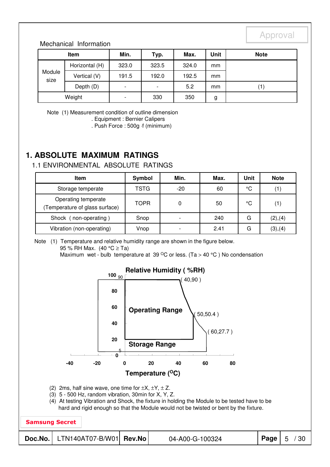#### Mechanical Information

| <b>Item</b>    |                | Min.                     | Typ.                     | Max.  | Unit | <b>Note</b>       |
|----------------|----------------|--------------------------|--------------------------|-------|------|-------------------|
| Module<br>size | Horizontal (H) | 323.0                    | 323.5                    | 324.0 | mm   |                   |
|                | Vertical (V)   | 191.5                    | 192.0                    | 192.5 | mm   |                   |
|                | Depth (D)      | $\overline{\phantom{0}}$ | $\overline{\phantom{a}}$ | 5.2   | mm   | $\left( 1\right)$ |
| Weight         |                | -                        | 330                      | 350   | g    |                   |

Note (1) Measurement condition of outline dimension

. Equipment : Bernier Calipers

. Push Force : 500g ⋅f (minimum)

### **1. ABSOLUTE MAXIMUM RATINGS**

#### 1.1 ENVIRONMENTAL ABSOLUTE RATINGS

| <b>Item</b>                                          | Symbol      | Min.                     | Max. | Unit         | <b>Note</b>       |
|------------------------------------------------------|-------------|--------------------------|------|--------------|-------------------|
| Storage temperate                                    | TSTG        | $-20$                    | 60   | °C           |                   |
| Operating temperate<br>Temperature of glass surface) | <b>TOPR</b> | 0                        | 50   | $^{\circ}$ C | $\left( 1\right)$ |
| Shock (<br>non-operating)                            | Snop        | $\overline{\phantom{a}}$ | 240  | G            | (2), (4)          |
| Vibration (non-operating)                            | Vnop        |                          | 2.41 | G            | (3),(4)           |

Note (1) Temperature and relative humidity range are shown in the figure below. 95 % RH Max. (40 °C ≥ Ta) Maximum wet - bulb temperature at 39  $\mathrm{^{\circ}C}$  or less. (Ta > 40  $\mathrm{^{\circ}C}$ ) No condensation

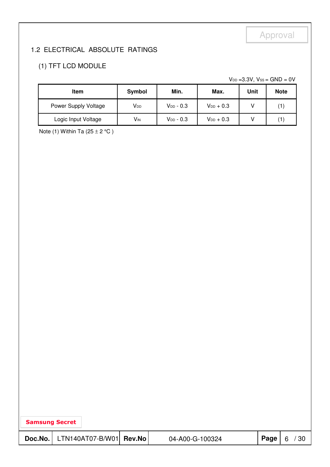### 1.2 ELECTRICAL ABSOLUTE RATINGS

### (1) TFT LCD MODULE

 $V_{DD}$  =3.3V,  $V_{SS}$  = GND = 0V

| <b>Item</b>          | Symbol                | Min.           | Max.           | Unit | <b>Note</b>    |
|----------------------|-----------------------|----------------|----------------|------|----------------|
| Power Supply Voltage | V <sub>DD</sub>       | $V_{DD} - 0.3$ | $V_{DD}$ + 0.3 |      | $^{\prime}$ 1. |
| Logic Input Voltage  | <b>V<sub>IN</sub></b> | $V_{DD}$ - 0.3 | $V_{DD}$ + 0.3 |      |                |

Note (1) Within Ta  $(25 \pm 2 \degree C)$ 

| <b>Samsung Secret</b> |                         |  |                 |          |   |     |  |  |
|-----------------------|-------------------------|--|-----------------|----------|---|-----|--|--|
| Doc.No.               | LTN140AT07-B/W01 Rev.No |  | 04-A00-G-100324 | Page $ $ | 6 | /30 |  |  |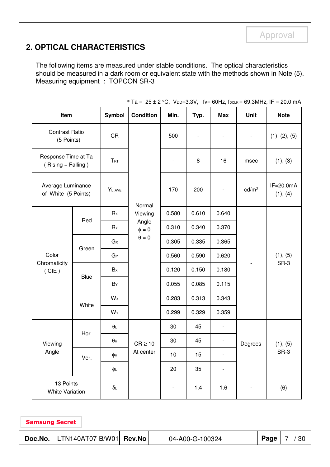### **2. OPTICAL CHARACTERISTICS**

The following items are measured under stable conditions. The optical characteristics should be measured in a dark room or equivalent state with the methods shown in Note (5). Measuring equipment : TOPCON SR-3

|                                                                                         | Item                   |                | <b>Condition</b>    | Min.                     | Typ.           | <b>Max</b>               | Unit                         | <b>Note</b>               |
|-----------------------------------------------------------------------------------------|------------------------|----------------|---------------------|--------------------------|----------------|--------------------------|------------------------------|---------------------------|
| <b>Contrast Ratio</b><br>(5 Points)                                                     |                        | <b>CR</b>      |                     | 500                      |                |                          | $\qquad \qquad \blacksquare$ | (1), (2), (5)             |
| Response Time at Ta<br>$(Rising + Falling)$<br>Average Luminance<br>of White (5 Points) |                        | TRT            |                     |                          | 8              | 16                       | msec                         | (1), (3)                  |
|                                                                                         |                        | $Y_{L,AVE}$    |                     | 170                      | 200            | $\overline{\phantom{a}}$ | cd/m <sup>2</sup>            | $IF = 20.0mA$<br>(1), (4) |
|                                                                                         |                        | Rx             | Normal<br>Viewing   | 0.580                    | 0.610          | 0.640                    |                              |                           |
| Color                                                                                   | Red                    | RY             | Angle<br>$\phi = 0$ | 0.310                    | 0.340          | 0.370                    |                              |                           |
|                                                                                         |                        | $G \times$     | $\theta = 0$        | 0.305                    | 0.335          | 0.365                    |                              | (1), (5)                  |
|                                                                                         | Green                  | GY             |                     | 0.560                    | 0.590          | 0.620                    |                              |                           |
| Chromaticity<br>(CIE)                                                                   | <b>Blue</b>            | Bx             |                     | 0.120                    | 0.150          | 0.180                    |                              | SR-3                      |
|                                                                                         |                        | BY             |                     | 0.055                    | 0.085          | 0.115                    |                              |                           |
|                                                                                         |                        | W <sub>x</sub> |                     | 0.283                    | 0.313<br>0.343 |                          |                              |                           |
|                                                                                         | White                  | WY             |                     | 0.299                    | 0.329          | 0.359                    |                              |                           |
|                                                                                         |                        | $\theta$       |                     | 30                       | 45             | $\overline{\phantom{a}}$ |                              |                           |
| Viewing                                                                                 | Hor.                   | $\theta$ H     | $CR \ge 10$         | 30                       | 45             | $\overline{\phantom{a}}$ | Degrees                      | (1), (5)                  |
| Angle                                                                                   | Ver.                   | φн             | At center           | $10$                     | 15             |                          |                              | $SR-3$                    |
|                                                                                         |                        | ΦL             |                     | 20                       | 35             |                          |                              |                           |
| 13 Points                                                                               | <b>White Variation</b> | $\delta$ L     |                     | $\overline{\phantom{a}}$ | 1.4            | 1.6                      |                              | (6)                       |

\* Ta =  $25 \pm 2$  °C, VDD=3.3V, fv= 60Hz, fDCLK = 69.3MHz, IF = 20.0 mA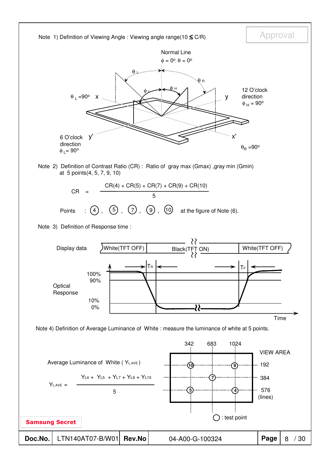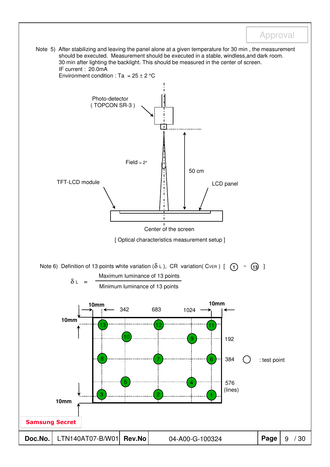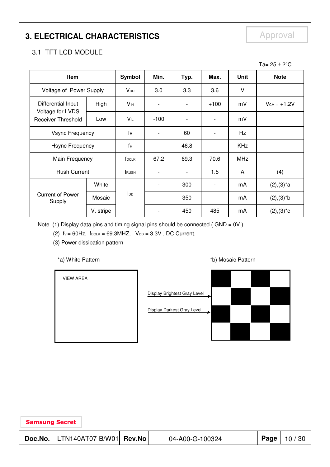# **3. ELECTRICAL CHARACTERISTICS** Approval

### 3.1 TFT LCD MODULE

|                                                                     |           |                   |                          |                          |                          |             | Ta= $25 \pm 2$ °C |
|---------------------------------------------------------------------|-----------|-------------------|--------------------------|--------------------------|--------------------------|-------------|-------------------|
| Item                                                                |           | <b>Symbol</b>     | Min.                     | Typ.                     | Max.                     | <b>Unit</b> | <b>Note</b>       |
| Voltage of Power Supply                                             |           | V <sub>DD</sub>   | 3.0                      | 3.3                      | 3.6                      | $\vee$      |                   |
| Differential Input<br>Voltage for LVDS<br><b>Receiver Threshold</b> | High      | Vıн               | $\overline{\phantom{0}}$ |                          | $+100$                   | mV          | $V_{CM} = +1.2V$  |
|                                                                     | Low       | VIL               | $-100$                   |                          |                          | mV          |                   |
| <b>Vsync Frequency</b>                                              |           | fv                | $\overline{a}$           | 60                       | $\overline{\phantom{a}}$ | Hz          |                   |
| Hsync Frequency                                                     |           | $f_H$             | $\overline{a}$           | 46.8                     | $\overline{\phantom{a}}$ | <b>KHz</b>  |                   |
| Main Frequency                                                      |           | f <sub>DCLK</sub> | 67.2                     | 69.3                     | 70.6                     | <b>MHz</b>  |                   |
| <b>Rush Current</b>                                                 |           | <b>RUSH</b>       | $\overline{\phantom{a}}$ | $\overline{\phantom{a}}$ | 1.5                      | A           | (4)               |
|                                                                     | White     |                   | $\overline{\phantom{a}}$ | 300                      | $\overline{\phantom{a}}$ | mA          | $(2), (3)^*a$     |
| <b>Current of Power</b><br>Supply                                   | Mosaic    | I <sub>DD</sub>   | $\overline{\phantom{a}}$ | 350                      | $\overline{\phantom{a}}$ | mA          | $(2), (3)*b$      |
|                                                                     | V. stripe |                   |                          | 450                      | 485                      | mA          | $(2), (3)^*c$     |

Note (1) Display data pins and timing signal pins should be connected.(  $GND = 0V$  )

(2)  $fv = 60Hz$ ,  $f_{DCLK} = 69.3MHz$ ,  $V_{DD} = 3.3V$ , DC Current.

(3) Power dissipation pattern

\*a) White Pattern **\*b**) Mosaic Pattern **\*b**)

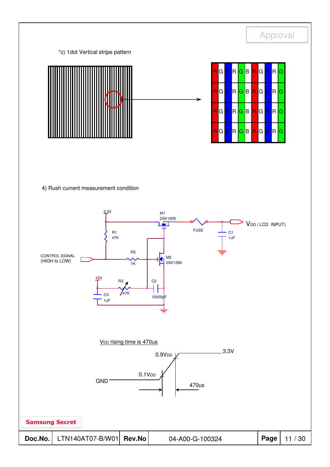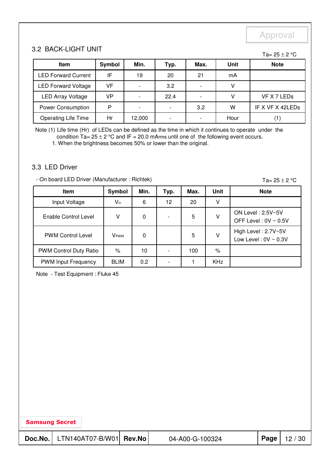#### 3.2 BACK-LIGHT UNIT

Ta=  $25 \pm 2$  °C

| <b>Item</b>                | Symbol | Min.                     | Typ. | Max. | <b>Unit</b> | <b>Note</b>      |
|----------------------------|--------|--------------------------|------|------|-------------|------------------|
| <b>LED Forward Current</b> | IF     | 19                       | 20   | 21   | mA          |                  |
| <b>LED Forward Voltage</b> | VF     |                          | 3.2  |      |             |                  |
| <b>LED Array Voltage</b>   | VP     |                          | 22.4 |      |             | VF X 7 LEDs      |
| <b>Power Consumption</b>   | D      | $\overline{\phantom{0}}$ |      | 3.2  | W           | IF X VF X 42LEDs |
| <b>Operating Life Time</b> | Hr     | 12,000                   |      |      | Hour        |                  |

Note (1) Life time (Hr) of LEDs can be defined as the time in which it continues to operate under the condition  $Ta = 25 \pm 2$  °C and IF = 20.0 mArms until one of the following event occurs.

1. When the brightness becomes 50% or lower than the original.

#### 3.3 LED Driver

- On board LED Driver (Manufacturer : Richtek)

Ta=  $25 \pm 2$  °C

| <b>Item</b>                | Symbol                  | Min. | Typ. | Max. | Unit       | <b>Note</b>                                      |
|----------------------------|-------------------------|------|------|------|------------|--------------------------------------------------|
| Input Voltage              | $V_{in}$                | 6    | 12   | 20   | ۷          |                                                  |
| Enable Control Level       | v                       | 0    |      | 5    | V          | ON Level: 2.5V~5V<br>OFF Level: $0V \sim 0.5V$   |
| <b>PWM Control Level</b>   | <b>V</b> <sub>PWM</sub> | 0    |      | 5    | ٧          | High Level: 2.7V~5V<br>Low Level: $0V \sim 0.3V$ |
| PWM Control Duty Ratio     | $\%$                    | 10   |      | 100  | %          |                                                  |
| <b>PWM Input Frequency</b> | <b>BLIM</b>             | 0.2  |      |      | <b>KHz</b> |                                                  |

Note - Test Equipment : Fluke 45

| <b>Samsung Secret</b> |                                     |                 |      |       |
|-----------------------|-------------------------------------|-----------------|------|-------|
|                       | Doc.No.   LTN140AT07-B/W01   Rev.No | 04-A00-G-100324 | Page | 12/30 |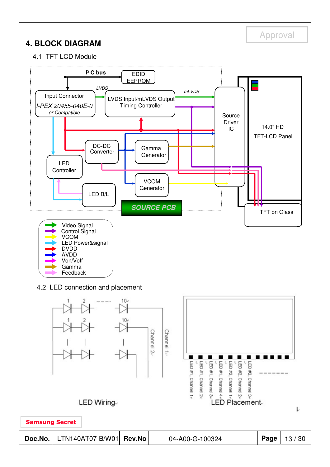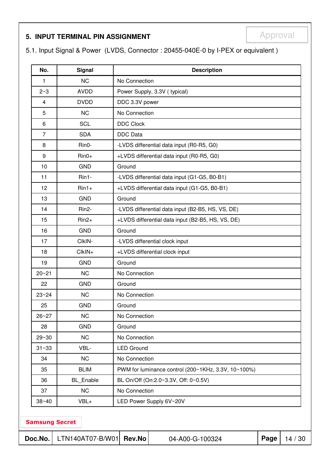# **5. INPUT TERMINAL PIN ASSIGNMENT EXAMPLE APPROVAL**

5.1. Input Signal & Power (LVDS, Connector : 20455-040E-0 by I-PEX or equivalent )

| No.                                                                                                       | <b>Signal</b>      |                                                   | <b>Description</b>                                  |  |  |  |  |
|-----------------------------------------------------------------------------------------------------------|--------------------|---------------------------------------------------|-----------------------------------------------------|--|--|--|--|
| 1                                                                                                         | <b>NC</b>          | No Connection                                     |                                                     |  |  |  |  |
| $2 - 3$                                                                                                   | <b>AVDD</b>        |                                                   | Power Supply, 3.3V (typical)                        |  |  |  |  |
| $\overline{4}$                                                                                            | <b>DVDD</b>        | DDC 3.3V power                                    |                                                     |  |  |  |  |
| 5                                                                                                         | <b>NC</b>          | No Connection                                     |                                                     |  |  |  |  |
| 6                                                                                                         | <b>SCL</b>         | <b>DDC Clock</b>                                  |                                                     |  |  |  |  |
| $\overline{7}$                                                                                            | <b>SDA</b>         | <b>DDC</b> Data                                   |                                                     |  |  |  |  |
| 8                                                                                                         | Rin0-              | -LVDS differential data input (R0-R5, G0)         |                                                     |  |  |  |  |
| 9                                                                                                         | $Rin0+$            | +LVDS differential data input (R0-R5, G0)         |                                                     |  |  |  |  |
| 10                                                                                                        | <b>GND</b>         | Ground                                            |                                                     |  |  |  |  |
| 11                                                                                                        | Rin1-              | -LVDS differential data input (G1-G5, B0-B1)      |                                                     |  |  |  |  |
| 12                                                                                                        | $Rin1+$            | +LVDS differential data input (G1-G5, B0-B1)      |                                                     |  |  |  |  |
| 13                                                                                                        | <b>GND</b>         | Ground                                            |                                                     |  |  |  |  |
| 14                                                                                                        | Rin <sub>2</sub> - | -LVDS differential data input (B2-B5, HS, VS, DE) |                                                     |  |  |  |  |
| 15                                                                                                        | $Rin2+$            | +LVDS differential data input (B2-B5, HS, VS, DE) |                                                     |  |  |  |  |
| 16                                                                                                        | <b>GND</b>         | Ground                                            |                                                     |  |  |  |  |
| 17                                                                                                        | CIkIN-             | -LVDS differential clock input                    |                                                     |  |  |  |  |
| 18                                                                                                        | $ClkIN+$           | +LVDS differential clock input                    |                                                     |  |  |  |  |
| 19                                                                                                        | <b>GND</b>         | Ground                                            |                                                     |  |  |  |  |
| $20 - 21$                                                                                                 | <b>NC</b>          | No Connection                                     |                                                     |  |  |  |  |
| 22                                                                                                        | <b>GND</b>         | Ground                                            |                                                     |  |  |  |  |
| $23 - 24$                                                                                                 | <b>NC</b>          | No Connection                                     |                                                     |  |  |  |  |
| 25                                                                                                        | <b>GND</b>         | Ground                                            |                                                     |  |  |  |  |
| $26 - 27$                                                                                                 | <b>NC</b>          | No Connection                                     |                                                     |  |  |  |  |
| 28                                                                                                        | <b>GND</b>         | Ground                                            |                                                     |  |  |  |  |
| $29 - 30$                                                                                                 | <b>NC</b>          | No Connection                                     |                                                     |  |  |  |  |
| $31 - 33$                                                                                                 | VBL-               | <b>LED Ground</b>                                 |                                                     |  |  |  |  |
| 34                                                                                                        | <b>NC</b>          | No Connection                                     |                                                     |  |  |  |  |
| 35                                                                                                        | <b>BLIM</b>        |                                                   | PWM for luminance control (200~1KHz, 3.3V, 10~100%) |  |  |  |  |
| 36                                                                                                        | BL_Enable          |                                                   | BL On/Off (On:2.0~3.3V, Off: 0~0.5V)                |  |  |  |  |
| 37                                                                                                        | <b>NC</b>          | No Connection                                     |                                                     |  |  |  |  |
| $38 - 40$                                                                                                 | VBL+               | LED Power Supply 6V~20V                           |                                                     |  |  |  |  |
| <b>Samsung Secret</b><br>LTN140AT07-B/W01<br>Doc.No.<br><b>Rev.No</b><br>Page<br>14/30<br>04-A00-G-100324 |                    |                                                   |                                                     |  |  |  |  |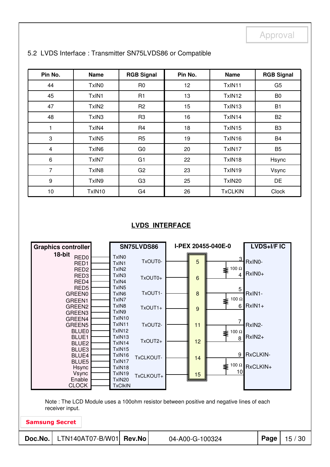| Pin No.          | <b>Name</b>       | <b>RGB Signal</b> | Pin No. | <b>Name</b>    | <b>RGB Signal</b> |
|------------------|-------------------|-------------------|---------|----------------|-------------------|
| 44               | TxIN <sub>0</sub> | R <sub>0</sub>    | 12      | TxIN11         | G <sub>5</sub>    |
| 45               | TxIN1             | R <sub>1</sub>    | 13      | TxIN12         | B <sub>0</sub>    |
| 47               | TxIN <sub>2</sub> | R <sub>2</sub>    | 15      | TxIN13         | <b>B1</b>         |
| 48               | TxIN <sub>3</sub> | R <sub>3</sub>    | 16      | TxIN14         | B <sub>2</sub>    |
| 1                | TxIN4             | R <sub>4</sub>    | 18      | TxIN15         | B <sub>3</sub>    |
| 3                | TxIN <sub>5</sub> | R <sub>5</sub>    | 19      | TxIN16         | B <sub>4</sub>    |
| $\overline{4}$   | TxIN <sub>6</sub> | G <sub>0</sub>    | 20      | TxIN17         | B <sub>5</sub>    |
| 6                | TxIN7             | G <sub>1</sub>    | 22      | TxIN18         | Hsync             |
| $\overline{7}$   | TxIN8             | G <sub>2</sub>    | 23      | TxIN19         | Vsync             |
| $\boldsymbol{9}$ | TxIN9             | G <sub>3</sub>    | 25      | TxIN20         | <b>DE</b>         |
| 10               | TxIN10            | G <sub>4</sub>    | 26      | <b>TxCLKIN</b> | Clock             |

#### 5.2 LVDS Interface : Transmitter SN75LVDS86 or Compatible

#### **LVDS INTERFACE**

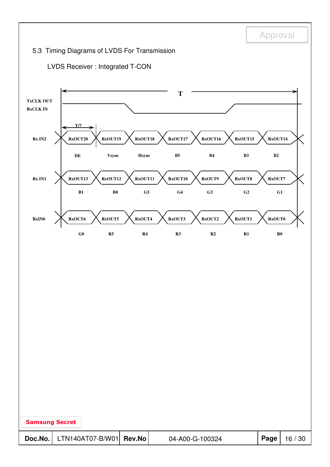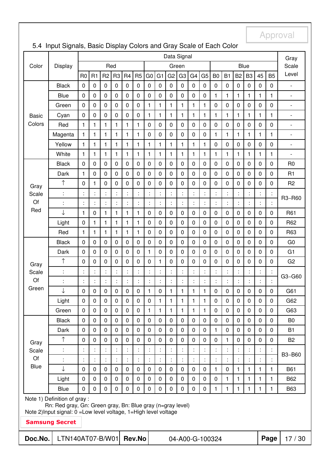| Data Signal                                                                                                                       |                              |                      |                      |                |                |                |                |                |                |                |                |                |                |                 |                  | Gray           |                  |                      |                |                              |
|-----------------------------------------------------------------------------------------------------------------------------------|------------------------------|----------------------|----------------------|----------------|----------------|----------------|----------------|----------------|----------------|----------------|----------------|----------------|----------------|-----------------|------------------|----------------|------------------|----------------------|----------------|------------------------------|
| Color                                                                                                                             | Display                      |                      |                      | Red            |                |                |                |                |                |                | Green          |                |                |                 |                  |                | Blue             |                      |                | Scale                        |
|                                                                                                                                   |                              | R <sub>0</sub>       | R1                   | R <sub>2</sub> | R <sub>3</sub> | R <sub>4</sub> | R <sub>5</sub> | G <sub>0</sub> | G <sub>1</sub> | G <sub>2</sub> | G <sub>3</sub> | G <sub>4</sub> | G <sub>5</sub> | B <sub>0</sub>  | <b>B1</b>        | B <sub>2</sub> | B <sub>3</sub>   | 45                   | B <sub>5</sub> | Level                        |
|                                                                                                                                   | <b>Black</b>                 | 0                    | 0                    | $\pmb{0}$      | 0              | 0              | $\mathbf 0$    | 0              | $\mathbf 0$    | 0              | $\mathbf 0$    | $\mathbf 0$    | 0              | $\pmb{0}$       | $\pmb{0}$        | 0              | $\pmb{0}$        | $\mathbf 0$          | $\mathbf 0$    | $\overline{\phantom{a}}$     |
|                                                                                                                                   | <b>Blue</b>                  | $\pmb{0}$            | $\mathbf 0$          | $\pmb{0}$      | 0              | $\pmb{0}$      | $\mathbf 0$    | $\pmb{0}$      | $\mathbf 0$    | $\mathbf 0$    | $\pmb{0}$      | $\mathbf 0$    | 0              | $\mathbf{1}$    | $\mathbf{1}$     | 1              | 1                | $\mathbf{1}$         | $\mathbf{1}$   | $\overline{\phantom{a}}$     |
|                                                                                                                                   | Green                        | $\pmb{0}$            | $\mathbf 0$          | $\pmb{0}$      | 0              | $\mathbf 0$    | $\mathbf 0$    | $\mathbf{1}$   | $\mathbf{1}$   | 1              | $\mathbf{1}$   | $\mathbf{1}$   | 1              | $\pmb{0}$       | $\boldsymbol{0}$ | $\pmb{0}$      | $\boldsymbol{0}$ | $\mathbf 0$          | $\pmb{0}$      | $\overline{\phantom{a}}$     |
| <b>Basic</b>                                                                                                                      | Cyan                         | $\mathbf 0$          | $\mathbf 0$          | $\mathbf 0$    | 0              | $\mathbf 0$    | $\mathbf 0$    | $\mathbf{1}$   | $\mathbf{1}$   | 1              | $\mathbf{1}$   | $\mathbf{1}$   | $\mathbf{1}$   | $\mathbf{1}$    | $\mathbf{1}$     | 1              | $\mathbf{1}$     | $\mathbf{1}$         | 1              | $\blacksquare$               |
| Colors                                                                                                                            | Red                          | $\mathbf{1}$         | $\mathbf{1}$         | $\mathbf{1}$   | 1              | 1              | 1              | $\mathbf 0$    | $\mathbf 0$    | 0              | $\mathbf 0$    | $\mathbf 0$    | 0              | $\mathbf 0$     | $\mathbf 0$      | $\mathbf 0$    | $\mathbf 0$      | $\mathbf 0$          | $\mathbf 0$    | $\overline{\phantom{a}}$     |
|                                                                                                                                   | Magenta                      | $\mathbf{1}$         | $\mathbf{1}$         | $\mathbf{1}$   | 1              | 1              | 1              | $\mathbf 0$    | $\mathbf 0$    | 0              | $\mathbf 0$    | $\mathbf 0$    | 0              | $\mathbf{1}$    | 1                | 1              | 1                | $\mathbf{1}$         | $\mathbf{1}$   | $\qquad \qquad \blacksquare$ |
|                                                                                                                                   | Yellow                       | $\mathbf{1}$         | $\mathbf{1}$         | $\mathbf{1}$   | 1              | 1              | 1              | 1              | $\mathbf{1}$   | 1              | $\mathbf{1}$   | 1              | 1              | $\mathbf 0$     | $\mathbf 0$      | $\mathbf 0$    | $\mathbf 0$      | $\pmb{0}$            | $\mathbf 0$    | $\blacksquare$               |
|                                                                                                                                   | White                        | $\mathbf{1}$         | $\mathbf{1}$         | $\mathbf{1}$   | 1              | 1              | $\mathbf{1}$   | 1              | $\mathbf{1}$   | 1              | $\mathbf{1}$   | $\mathbf{1}$   | 1              | 1               | 1                | 1              | 1                | 1                    | 1              | $\frac{1}{2}$                |
|                                                                                                                                   | <b>Black</b>                 | 0                    | 0                    | 0              | 0              | 0              | $\mathbf 0$    | 0              | $\mathbf 0$    | 0              | 0              | $\mathbf 0$    | 0              | $\mathbf 0$     | $\mathbf 0$      | 0              | $\mathbf 0$      | $\mathbf 0$          | $\mathbf 0$    | R <sub>0</sub>               |
|                                                                                                                                   | Dark                         | 1                    | 0                    | 0              | 0              | 0              | $\mathbf 0$    | 0              | $\mathbf 0$    | 0              | $\pmb{0}$      | $\mathbf 0$    | 0              | $\mathbf 0$     | $\mathbf 0$      | 0              | $\pmb{0}$        | 0                    | $\pmb{0}$      | R <sub>1</sub>               |
| Gray                                                                                                                              | ↑                            | 0                    | $\mathbf{1}$         | 0              | 0              | $\pmb{0}$      | 0              | 0              | $\mathbf 0$    | 0              | $\pmb{0}$      | $\mathbf 0$    | 0              | $\mathbf 0$     | $\mathbf 0$      | 0              | 0                | 0                    | $\pmb{0}$      | R <sub>2</sub>               |
| Scale                                                                                                                             | ÷                            | ċ                    | $\ddot{\cdot}$       | ÷              | t              |                | t              |                | ċ              | t              | ÷.             | t.             | t.             |                 |                  | ÷              |                  | Ì                    |                | R3~R60                       |
| Of                                                                                                                                | ÷                            | ċ                    | $\ddot{\phantom{a}}$ | ÷              | t              |                | t              |                | t              | ÷              | t              | t.             | t              | ÷               | ÷                | ÷              | ÷                | $\ddot{\phantom{a}}$ |                |                              |
| Red                                                                                                                               | ↓                            | $\mathbf{1}$         | $\mathbf 0$          | $\mathbf{1}$   | 1              | 1              | 1              | 0              | $\mathbf 0$    | 0              | $\mathbf 0$    | $\mathbf 0$    | 0              | $\mathbf 0$     | $\mathbf 0$      | 0              | $\pmb{0}$        | $\mathbf 0$          | $\mathbf 0$    | R61                          |
|                                                                                                                                   | Light                        | $\pmb{0}$            | $\mathbf{1}$         | 1              | 1              | 1              | 1              | $\mathbf 0$    | $\mathbf 0$    | 0              | $\mathbf 0$    | $\mathbf 0$    | 0              | $\mathbf 0$     | $\mathbf 0$      | $\mathbf 0$    | $\mathbf 0$      | $\pmb{0}$            | $\mathbf 0$    | R62                          |
|                                                                                                                                   | Red                          | $\mathbf{1}$         | $\mathbf{1}$         | $\mathbf{1}$   | $\mathbf{1}$   | 1              | $\mathbf{1}$   | 0              | $\mathbf 0$    | 0              | $\mathbf 0$    | $\mathbf 0$    | 0              | $\mathbf 0$     | $\mathbf 0$      | $\mathbf 0$    | $\mathbf 0$      | $\mathbf 0$          | $\mathbf 0$    | R63                          |
|                                                                                                                                   | <b>Black</b>                 | $\mathbf 0$          | $\mathbf 0$          | $\pmb{0}$      | 0              | $\pmb{0}$      | $\mathbf 0$    | $\pmb{0}$      | $\mathbf 0$    | 0              | $\mathbf 0$    | $\mathbf 0$    | 0              | $\pmb{0}$       | $\pmb{0}$        | 0              | $\mathbf 0$      | 0                    | $\mathbf 0$    | G <sub>0</sub>               |
|                                                                                                                                   | Dark                         | $\pmb{0}$            | $\pmb{0}$            | $\pmb{0}$      | 0              | $\pmb{0}$      | $\mathbf 0$    | 1              | $\mathbf 0$    | 0              | $\pmb{0}$      | $\mathbf 0$    | 0              | $\pmb{0}$       | $\pmb{0}$        | $\pmb{0}$      | $\boldsymbol{0}$ | $\pmb{0}$            | $\mathbf 0$    | G <sub>1</sub>               |
| Gray                                                                                                                              | ↑                            | $\pmb{0}$            | $\mathbf 0$          | $\pmb{0}$      | 0              | $\mathbf 0$    | $\mathbf 0$    | $\pmb{0}$      | $\mathbf{1}$   | 0              | $\mathbf 0$    | $\mathbf 0$    | 0              | $\mathbf 0$     | $\boldsymbol{0}$ | 0              | 0                | 0                    | $\mathbf 0$    | G <sub>2</sub>               |
| Scale                                                                                                                             | t                            | t                    | $\ddot{\cdot}$       | ÷              | t.             | t              | ÷              | t              | ċ              | t              | t.             | ł.             | t.             | t               | t                | t              | t                | t                    | t              | G3~G60                       |
| Of                                                                                                                                | $\ddot{\cdot}$               | t                    | ÷                    | ÷              | t.             | t              | t              |                | ÷              | ÷              | ł.             | t              | ł,             | t               | t                | t              |                  | t                    |                |                              |
| Green                                                                                                                             | ↓                            | 0                    | $\mathbf 0$          | 0              | 0              | 0              | $\mathbf 0$    | 1              | $\mathbf 0$    | 1              | $\mathbf{1}$   | 1              | 1              | $\mathbf 0$     | $\pmb{0}$        | 0              | $\pmb{0}$        | $\mathbf 0$          | 0              | G61                          |
|                                                                                                                                   | Light                        | 0                    | $\pmb{0}$            | 0              | 0              | 0              | $\mathbf 0$    | $\pmb{0}$      | 1              | 1              | $\mathbf{1}$   | 1              | 1              | 0               | $\mathbf 0$      | 0              | $\pmb{0}$        | $\pmb{0}$            | 0              | G62                          |
|                                                                                                                                   | Green                        | $\mathbf 0$          | 0                    | 0              | 0              | 0              | $\mathbf 0$    | 1              | 1              | $\mathbf{1}$   | $\mathbf{1}$   | $\mathbf{1}$   | $\mathbf{1}$   | $\mathbf 0$     | $\mathbf 0$      | 0              | $\mathbf 0$      | $\mathbf 0$          | $\Omega$       | G63                          |
|                                                                                                                                   | <b>Black</b>                 | 0                    | 0                    | 0              | 0              | 0              | $\mathbf 0$    | 0              | $\mathbf 0$    | 0              | 0              | $\mathbf 0$    | 0              | $\mathbf 0$     | $\mathbf 0$      | 0              | $\mathbf 0$      | $\mathbf 0$          | 0              | B <sub>0</sub>               |
|                                                                                                                                   | Dark                         | 0                    | 0                    | 0              | 0              | 0              | $\mathbf 0$    | 0              | $\pmb{0}$      | 0              | 0              | 0              | 0              | $\mathbf{1}$    | $\mathbf 0$      | 0              | $\pmb{0}$        | 0                    | $\mathbf 0$    | B <sub>1</sub>               |
| Gray                                                                                                                              | ↑                            | 0                    | 0                    | 0              | 0              | 0              | $\mathbf 0$    | 0              | $\mathbf 0$    | 0              | 0              | $\mathbf 0$    | 0              | $\mathbf 0$     | 1                | $\mathbf 0$    | $\mathbf 0$      | 0                    | 0              | B <sub>2</sub>               |
| Scale                                                                                                                             |                              | $\ddot{\phantom{a}}$ | ÷                    | ÷              |                |                |                |                | t              | ÷              | ÷.             | t.             |                |                 |                  |                |                  |                      |                | B3~B60                       |
| Of                                                                                                                                | t                            | ţ                    | t                    | ł,             |                |                |                |                | t              | t              | ł,             |                |                |                 |                  |                |                  |                      |                |                              |
| <b>Blue</b>                                                                                                                       | ↓                            | 0                    | 0                    | 0              | 0              | 0              | $\mathbf 0$    | 0              | $\mathbf 0$    | 0              | 0              | $\mathbf 0$    | 0              | 1               | $\mathbf 0$      | 1              | 1                | $\mathbf{1}$         | 1              | <b>B61</b>                   |
|                                                                                                                                   | Light                        | $\mathbf 0$          | 0                    | 0              | 0              | 0              | $\mathbf 0$    | 0              | $\mathbf 0$    | 0              | 0              | $\mathbf 0$    | 0              | $\mathbf 0$     | 1                | 1              | 1                | 1                    | 1              | <b>B62</b>                   |
|                                                                                                                                   | Blue                         | $\mathbf 0$          | $\overline{0}$       | 0              | 0              | 0              | $\mathbf 0$    | 0              | $\mathbf 0$    | 0              | $\mathbf 0$    | $\mathbf 0$    | 0              | 1               | 1                | $\mathbf{1}$   | 1                | $\mathbf{1}$         | 1              | <b>B63</b>                   |
|                                                                                                                                   | Note 1) Definition of gray : |                      |                      |                |                |                |                |                |                |                |                |                |                |                 |                  |                |                  |                      |                |                              |
| Rn: Red gray, Gn: Green gray, Bn: Blue gray (n=gray level)<br>Note 2) Input signal: 0 = Low level voltage, 1 = High level voltage |                              |                      |                      |                |                |                |                |                |                |                |                |                |                |                 |                  |                |                  |                      |                |                              |
|                                                                                                                                   | <b>Samsung Secret</b>        |                      |                      |                |                |                |                |                |                |                |                |                |                |                 |                  |                |                  |                      |                |                              |
| Doc.No.                                                                                                                           | LTN140AT07-B/W01             |                      |                      |                |                |                | <b>Rev.No</b>  |                |                |                |                |                |                | 04-A00-G-100324 |                  |                |                  |                      | Page           | 17/30                        |
|                                                                                                                                   |                              |                      |                      |                |                |                |                |                |                |                |                |                |                |                 |                  |                |                  |                      |                |                              |

## 5.4 Input Signals, Basic Display Colors and Gray Scale of Each Color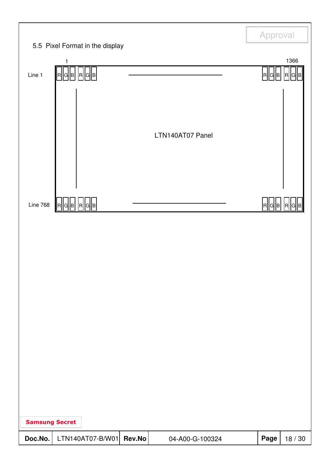|                       |                                                 |        |                  | Approval    |         |
|-----------------------|-------------------------------------------------|--------|------------------|-------------|---------|
|                       | 5.5 Pixel Format in the display<br>$\mathbf{1}$ |        |                  |             | 1366    |
| Line 1                | R  G  B   R  G  B                               |        |                  | RI<br> G  B | (R)     |
|                       |                                                 |        | LTN140AT07 Panel |             |         |
| <b>Line 768</b>       | R  G  B   R  G  B                               |        |                  | R  G  B     | IRI     |
|                       |                                                 |        |                  |             |         |
| <b>Samsung Secret</b> |                                                 |        |                  |             |         |
| Doc.No.               | LTN140AT07-B/W01                                | Rev.No | 04-A00-G-100324  | Page        | 18 / 30 |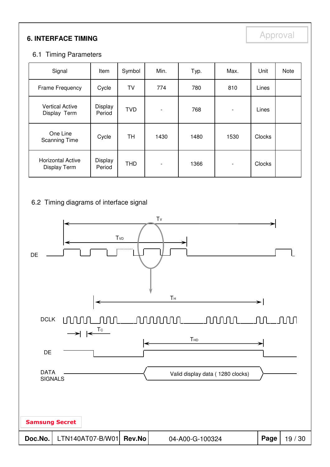# **6. INTERFACE TIMING**

### 6.1 Timing Parameters

| Signal                                   | Item              | Symbol     | Min.                     | Typ. | Max.                     | Unit   | Note |
|------------------------------------------|-------------------|------------|--------------------------|------|--------------------------|--------|------|
| Frame Frequency                          | Cycle             | TV         | 774                      | 780  | 810                      | Lines  |      |
| <b>Vertical Active</b><br>Display Term   | Display<br>Period | <b>TVD</b> | $\overline{\phantom{0}}$ | 768  | $\overline{\phantom{a}}$ | Lines  |      |
| One Line<br><b>Scanning Time</b>         | Cycle             | <b>TH</b>  | 1430                     | 1480 | 1530                     | Clocks |      |
| <b>Horizontal Active</b><br>Display Term | Display<br>Period | <b>THD</b> | $\blacksquare$           | 1366 | $\overline{\phantom{a}}$ | Clocks |      |

#### 6.2 Timing diagrams of interface signal

![](_page_18_Figure_5.jpeg)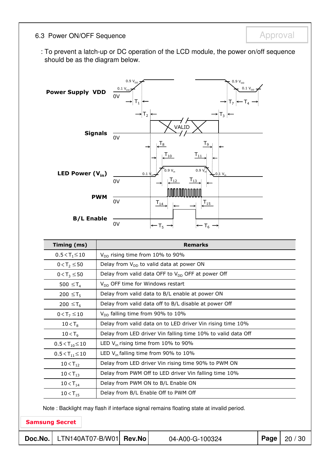### 6.3 Power ON/OFF Sequence **Approval** Approval

: To prevent a latch-up or DC operation of the LCD module, the power on/off sequence should be as the diagram below.

![](_page_19_Figure_3.jpeg)

| Timing (ms)               | <b>Remarks</b>                                               |
|---------------------------|--------------------------------------------------------------|
| $0.5 < T_1 \le 10$        | $V_{DD}$ rising time from 10% to 90%                         |
| $0 < T_2 \le 50$          | Delay from $V_{DD}$ to valid data at power ON                |
| $0 < T_3 \le 50$          | Delay from valid data OFF to $V_{DD}$ OFF at power Off       |
| 500 $\leq$ T <sub>4</sub> | $V_{DD}$ OFF time for Windows restart                        |
| 200 ≤T <sub>5</sub>       | Delay from valid data to B/L enable at power ON              |
| 200 ≤T <sub>6</sub>       | Delay from valid data off to B/L disable at power Off        |
| $0 < T_7 \le 10$          | $V_{DD}$ falling time from 90% to 10%                        |
| $10 < T_8$                | Delay from valid data on to LED driver Vin rising time 10%   |
| $10 < T_{q}$              | Delay from LED driver Vin falling time 10% to valid data Off |
| $0.5 < T_{10} \le 10$     | LED $V_{in}$ rising time from 10% to 90%                     |
| $0.5 < T_{11} \le 10$     | LED $V_{in}$ falling time from 90% to 10%                    |
| $10 < T_{12}$             | Delay from LED driver Vin rising time 90% to PWM ON          |
| $10 < T_{13}$             | Delay from PWM Off to LED driver Vin falling time 10%        |
| $10 < T_{14}$             | Delay from PWM ON to B/L Enable ON                           |
| $10 < T_{15}$             | Delay from B/L Enable Off to PWM Off                         |

Note : Backlight may flash if interface signal remains floating state at invalid period.

#### Samsung Secret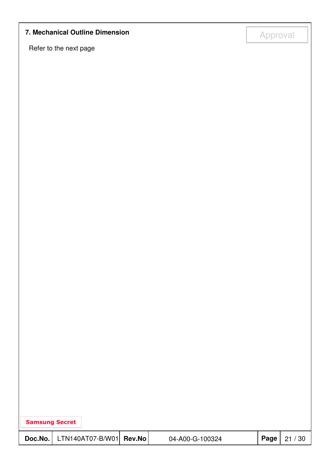# **7. Mechanical Outline Dimension**<br> **14. Approval**

Refer to the next page

| <b>Samsung Secret</b> |                                                                                                                                                                                                                                                                                                                                                                                                                                                                                                                                                                                                                                                   |        |                 |      |       |
|-----------------------|---------------------------------------------------------------------------------------------------------------------------------------------------------------------------------------------------------------------------------------------------------------------------------------------------------------------------------------------------------------------------------------------------------------------------------------------------------------------------------------------------------------------------------------------------------------------------------------------------------------------------------------------------|--------|-----------------|------|-------|
|                       | $\textsf{Doc}.\textsf{No.}\left[\right.\left.\left.\right.\left.\right.\left.\left.\right\vert\left.\right.\left.\left.\right\vert\left.\right.\left.\right\vert\left.\right\vert\left.\right\vert\left.\right\vert\left.\right\vert\left.\right\vert\left.\right\vert\left.\right\vert\left.\right\vert\left.\right\vert\left.\right\vert\left.\right\vert\left.\right\vert\left.\right\vert\left.\right\vert\left.\right\vert\left.\right\vert\left.\right\vert\left.\right\vert\left.\right\vert\left.\right\vert\left.\right\vert\left.\right\vert\left.\right\vert\left.\right\vert\left.\right\vert\left.\right\vert\left.\right\vert\left$ | Rev.No | 04-A00-G-100324 | Page | 21/30 |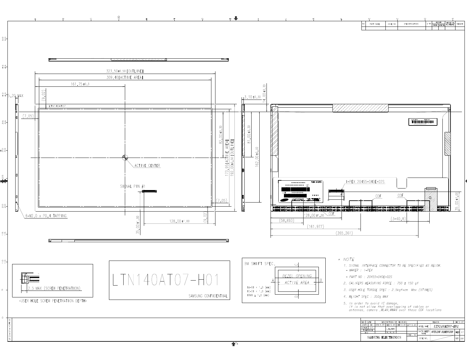![](_page_21_Figure_0.jpeg)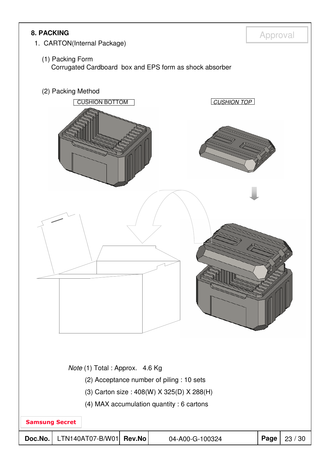![](_page_22_Picture_0.jpeg)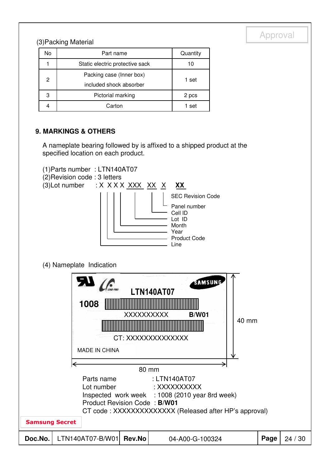# (3) Packing Material and the contract of the contract of the contract of the contract of the contract of the contract of the contract of the contract of the contract of the contract of the contract of the contract of the c

| No | Part name                       | Quantity |  |  |
|----|---------------------------------|----------|--|--|
|    | Static electric protective sack |          |  |  |
| 2  | Packing case (Inner box)        | 1 set    |  |  |
|    | included shock absorber         |          |  |  |
| 3  | Pictorial marking               | 2 pcs    |  |  |
|    | Carton                          | 1 set    |  |  |

#### **9. MARKINGS & OTHERS**

A nameplate bearing followed by is affixed to a shipped product at the specified location on each product.

![](_page_23_Figure_5.jpeg)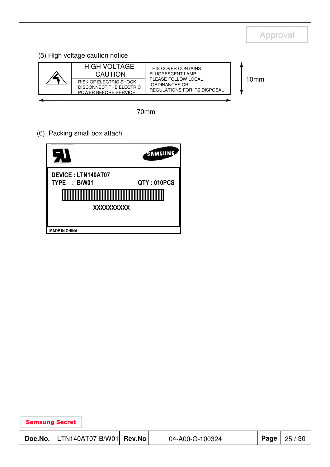|         |                                                                                                                    |        |                                                                                                                  | Approval |         |
|---------|--------------------------------------------------------------------------------------------------------------------|--------|------------------------------------------------------------------------------------------------------------------|----------|---------|
|         | (5) High voltage caution notice                                                                                    |        |                                                                                                                  |          |         |
|         | <b>HIGH VOLTAGE</b><br><b>CAUTION</b><br>RISK OF ELECTRIC SHOCK<br>DISCONNECT THE ELECTRIC<br>POWER BEFORE SERVICE |        | THIS COVER CONTAINS<br>FLUORESCENT LAMP.<br>PLEASE FOLLOW LOCAL<br>ORDINANCES OR<br>REGULATIONS FOR ITS DISPOSAL | 10mm     |         |
|         |                                                                                                                    | 70mm   |                                                                                                                  |          |         |
|         | (6) Packing small box attach                                                                                       |        |                                                                                                                  |          |         |
|         |                                                                                                                    |        | SAMSUNG                                                                                                          |          |         |
|         | <b>DEVICE: LTN140AT07</b><br>TYPE : B/W01                                                                          |        | QTY: 010PCS                                                                                                      |          |         |
|         | XXXXXXXXX                                                                                                          |        |                                                                                                                  |          |         |
|         | <b>MADE IN CHINA</b>                                                                                               |        |                                                                                                                  |          |         |
|         |                                                                                                                    |        |                                                                                                                  |          |         |
|         |                                                                                                                    |        |                                                                                                                  |          |         |
|         |                                                                                                                    |        |                                                                                                                  |          |         |
|         |                                                                                                                    |        |                                                                                                                  |          |         |
|         |                                                                                                                    |        |                                                                                                                  |          |         |
|         |                                                                                                                    |        |                                                                                                                  |          |         |
|         |                                                                                                                    |        |                                                                                                                  |          |         |
|         |                                                                                                                    |        |                                                                                                                  |          |         |
|         | <b>Samsung Secret</b>                                                                                              |        |                                                                                                                  |          |         |
| Doc.No. | LTN140AT07-B/W01                                                                                                   | Rev.No | 04-A00-G-100324                                                                                                  | Page     | 25 / 30 |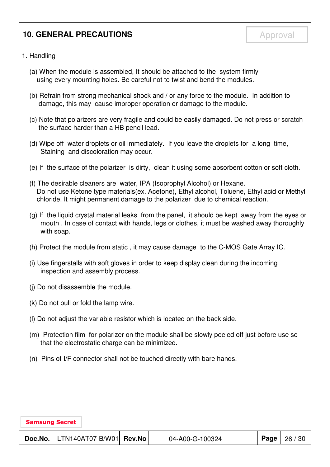## **10. GENERAL PRECAUTIONS Approval**

- 1. Handling
	- (a) When the module is assembled, It should be attached to the system firmly using every mounting holes. Be careful not to twist and bend the modules.
	- (b) Refrain from strong mechanical shock and / or any force to the module. In addition to damage, this may cause improper operation or damage to the module.
	- (c) Note that polarizers are very fragile and could be easily damaged. Do not press or scratch the surface harder than a HB pencil lead.
	- (d) Wipe off water droplets or oil immediately. If you leave the droplets for a long time, Staining and discoloration may occur.
	- (e) If the surface of the polarizer is dirty, clean it using some absorbent cotton or soft cloth.
	- (f) The desirable cleaners are water, IPA (Isoprophyl Alcohol) or Hexane. Do not use Ketone type materials(ex. Acetone), Ethyl alcohol, Toluene, Ethyl acid or Methyl chloride. It might permanent damage to the polarizer due to chemical reaction.
	- (g) If the liquid crystal material leaks from the panel, it should be kept away from the eyes or mouth . In case of contact with hands, legs or clothes, it must be washed away thoroughly with soap.
	- (h) Protect the module from static , it may cause damage to the C-MOS Gate Array IC.
	- (i) Use fingerstalls with soft gloves in order to keep display clean during the incoming inspection and assembly process.
	- (j) Do not disassemble the module.
	- (k) Do not pull or fold the lamp wire.
	- (l) Do not adjust the variable resistor which is located on the back side.
	- (m) Protection film for polarizer on the module shall be slowly peeled off just before use so that the electrostatic charge can be minimized.
	- (n) Pins of I/F connector shall not be touched directly with bare hands.

| <b>Samsung Secret</b> |                           |                 |          |         |
|-----------------------|---------------------------|-----------------|----------|---------|
| Doc.No.               | $LTN140ATO7-B/W01$ Rev.No | 04-A00-G-100324 | Page $ $ | 26 / 30 |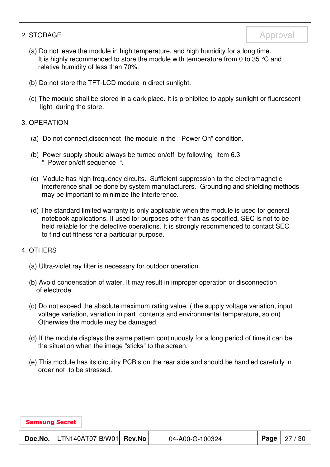#### 2. STORAGE Approval

- (a) Do not leave the module in high temperature, and high humidity for a long time. It is highly recommended to store the module with temperature from 0 to 35 °C and relative humidity of less than 70%.
- (b) Do not store the TFT-LCD module in direct sunlight.
- (c) The module shall be stored in a dark place. It is prohibited to apply sunlight or fluorescent light during the store.

#### 3. OPERATION

- (a) Do not connect,disconnect the module in the " Power On" condition.
- (b) Power supply should always be turned on/off by following item 6.3 " Power on/off sequence ".
- (c) Module has high frequency circuits. Sufficient suppression to the electromagnetic interference shall be done by system manufacturers. Grounding and shielding methods may be important to minimize the interference.
- (d) The standard limited warranty is only applicable when the module is used for general notebook applications. If used for purposes other than as specified, SEC is not to be held reliable for the defective operations. It is strongly recommended to contact SEC to find out fitness for a particular purpose.

#### 4. OTHERS

- (a) Ultra-violet ray filter is necessary for outdoor operation.
- (b) Avoid condensation of water. It may result in improper operation or disconnection of electrode.
- (c) Do not exceed the absolute maximum rating value. ( the supply voltage variation, input voltage variation, variation in part contents and environmental temperature, so on) Otherwise the module may be damaged.
- (d) If the module displays the same pattern continuously for a long period of time,it can be the situation when the image "sticks" to the screen.
- (e) This module has its circuitry PCB's on the rear side and should be handled carefully in order not to be stressed.

Samsung Secret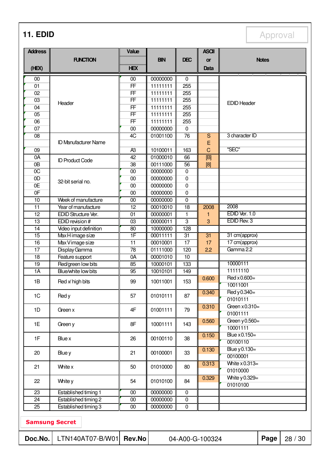**11. EDID** Approval

| <b>Address</b>  |                             | Value           |                      |                      | <b>ASCII</b>    |                             |              |         |
|-----------------|-----------------------------|-----------------|----------------------|----------------------|-----------------|-----------------------------|--------------|---------|
|                 | <b>FUNCTION</b>             |                 | <b>BIN</b>           | <b>DEC</b>           | <b>or</b>       |                             | <b>Notes</b> |         |
| (HEX)           |                             | <b>HEX</b>      |                      |                      | Data            |                             |              |         |
| 00              |                             | 00              | 00000000             | $\Omega$             |                 |                             |              |         |
| 01              |                             | F               | 11111111             | 255                  |                 |                             |              |         |
| 02              |                             | FF              | 11111111             | 255                  |                 |                             |              |         |
| 03              | Header                      | FF              | 11111111             | 255                  |                 | <b>EDID Header</b>          |              |         |
| 04              |                             | FF              | 11111111             | 255                  |                 |                             |              |         |
| 05              |                             | FF              | 11111111             | 255                  |                 |                             |              |         |
| 06              |                             | F               | 11111111             | 255                  |                 |                             |              |         |
| 07              |                             | 00              | 00000000             | $\overline{0}$       |                 |                             |              |         |
| 08              |                             | 4C              | 01001100             | $\overline{76}$      | $\overline{S}$  | 3 character ID              |              |         |
|                 | <b>ID Manufacturer Name</b> |                 |                      |                      | E               |                             |              |         |
| 09              |                             | A <sub>3</sub>  | 10100011             | 163                  | $\mathsf C$     | "SEC"                       |              |         |
| 0A<br>0B        | <b>ID Product Code</b>      | 42              | 01000010<br>00111000 | 66                   | $\boxed{[B]}$   |                             |              |         |
| $\overline{OC}$ |                             | 38<br>00        | 00000000             | 56<br>$\overline{0}$ | [8]             |                             |              |         |
| 0D              |                             | 00              | 00000000             | $\overline{0}$       |                 |                             |              |         |
| 0E              | 32-bit serial no.           | 00              | 00000000             | $\mathbf 0$          |                 |                             |              |         |
| 0 <sub>F</sub>  |                             | 00              | 00000000             | 0                    |                 |                             |              |         |
| 10              | Week of manufacture         | $\overline{00}$ | 00000000             | $\overline{0}$       |                 |                             |              |         |
| $\overline{11}$ | Year of manufacture         | $\overline{12}$ | 00010010             | 18                   | 2008            | 2008                        |              |         |
| 12              | EDID Structure Ver.         | 01              | 00000001             | 1                    | 1               | EDID Ver. 1.0               |              |         |
| 13              | EDID revision #             | $\overline{03}$ | 00000011             | $\overline{3}$       | 3               | EDID Rev. 3                 |              |         |
| $\overline{14}$ | Video input definition      | 80              | 10000000             | 128                  |                 |                             |              |         |
| 15              | Max H image size            | 1F              | 00011111             | 31                   | 31              | 31 cm(approx)               |              |         |
| $\overline{16}$ | Max Vimage size             | 11              | 00010001             | $\overline{17}$      | 17              | 17 cm(approx)               |              |         |
| $\overline{17}$ | Display Gamma               | $\overline{78}$ | 01111000             | 120                  | 2.2             | Gamma 2.2                   |              |         |
| 18              | Feature support             | 0A              | 00001010             | 10                   |                 |                             |              |         |
| $\overline{19}$ | Red/green low bits          | 85              | 10000101             | 133                  |                 | 10000111                    |              |         |
| $\overline{1A}$ | Blue/white low bits         | 95              | 10010101             | 149                  |                 | 11111110                    |              |         |
| 1B              | Red x high bits             | 99              | 10011001             | 153                  | 0.600           | Red $\times$ 0.600=         |              |         |
|                 |                             |                 |                      |                      |                 | 10011001                    |              |         |
| 1C              | Red y                       | 57              | 01010111             | 87                   | 0.340           | Red y 0.340=                |              |         |
|                 |                             |                 |                      |                      |                 | 01010111                    |              |         |
| 1D              | Green x                     | 4F              | 01001111             | 79                   | 0.310           | Green $x0.310=$             |              |         |
|                 |                             |                 |                      |                      |                 | 01001111                    |              |         |
| 1E              | Green y                     | 8F              | 10001111             | 143                  | 0.560           | Green $y0.560=$<br>10001111 |              |         |
|                 |                             |                 |                      |                      | 0.150           | Blue x 0.150=               |              |         |
| 1F              | Blue x                      | 26              | 00100110             | 38                   |                 | 00100110                    |              |         |
|                 |                             |                 |                      |                      | 0.130           | Blue y 0.130=               |              |         |
| 20              | Blue y                      | 21              | 00100001             | 33                   |                 | 00100001                    |              |         |
|                 |                             |                 |                      |                      | 0.313           | White $x0.313=$             |              |         |
| 21              | White x                     | 50              | 01010000             | 80                   |                 | 01010000                    |              |         |
|                 |                             |                 |                      |                      | 0.329           | White y 0.329=              |              |         |
| 22              | White y                     | 54              | 01010100             | 84                   |                 | 01010100                    |              |         |
| $\overline{23}$ | Established timing 1        | $\overline{00}$ | 00000000             | $\overline{0}$       |                 |                             |              |         |
| $\overline{24}$ | Established timing 2        | $00\,$          | 00000000             | $\overline{0}$       |                 |                             |              |         |
| 25              | Established timing 3        | $00\,$          | 00000000             | 0                    |                 |                             |              |         |
|                 |                             |                 |                      |                      |                 |                             |              |         |
|                 | <b>Samsung Secret</b>       |                 |                      |                      |                 |                             |              |         |
| Doc.No.         | LTN140AT07-B/W01            | <b>Rev.No</b>   |                      |                      | 04-A00-G-100324 |                             | Page         | 28 / 30 |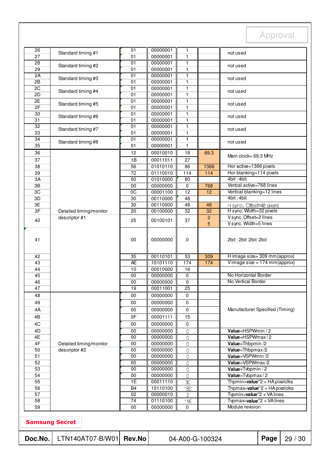| Doc.No.               | LTN140AT07-B/W01                         | <b>Rev.No</b>                     |                      | 04-A00-G-100324           |                     |                                                                                                                      | Page | 29/30 |
|-----------------------|------------------------------------------|-----------------------------------|----------------------|---------------------------|---------------------|----------------------------------------------------------------------------------------------------------------------|------|-------|
|                       |                                          |                                   |                      |                           |                     |                                                                                                                      |      |       |
| <b>Samsung Secret</b> |                                          |                                   |                      |                           |                     |                                                                                                                      |      |       |
| 59                    |                                          | 00                                | 00000000             | $\mathbf 0$               |                     | Module revision                                                                                                      |      |       |
| 58                    |                                          | $\overline{74}$                   | 01110100             | 116                       |                     | Typmax=value <sup>*2</sup> + VAlines                                                                                 |      |       |
| 57                    |                                          | 02                                | 00000010             | $\mathbf{c}$              |                     | Thpmin=value <sup>*2</sup> + HA pixelclks<br>Thpmax=value <sup>*</sup> 2 + HA pixelclks<br>Typmin=value*2 + VA lines |      |       |
| 55<br>56              |                                          | $\overline{1E}$<br>B <sub>4</sub> | 00011110<br>10110100 | $\infty$<br>180           |                     |                                                                                                                      |      |       |
| 54                    |                                          | 00                                | 00000000             | $\mathsf{O}\xspace$       |                     | Value=Tvbpmax/2                                                                                                      |      |       |
| 53                    |                                          | 00                                | 00000000             | $\overline{O}$            |                     | Value=Tvbpmin / 2                                                                                                    |      |       |
| 52                    |                                          | 00                                | 00000000             | $\overline{O}$            |                     | Value=VSPWmax/2                                                                                                      |      |       |
| 51                    |                                          | 00                                | 00000000             | $\overline{O}$            |                     | Value=VSPWmin /2                                                                                                     |      |       |
| 4F<br>50              | Detailed timing/monitor<br>descriptor #2 | 00<br>00                          | 00000000<br>00000000 | $\overline{O}$<br>$\circ$ |                     | Value=Thbpmin /2<br>Value=Thbpmax/2                                                                                  |      |       |
| 4E                    |                                          | $\overline{00}$                   | 00000000             | $\overline{0}$            |                     | Value=HSPWmax/2                                                                                                      |      |       |
| 4D                    |                                          | 00                                | 00000000             | $\mathsf O$               |                     | Value=HSPWmin / 2                                                                                                    |      |       |
| 4C                    |                                          | 00                                | 00000000             | 0                         |                     |                                                                                                                      |      |       |
| 4B                    |                                          | 0F                                | 00001111             | 15                        |                     |                                                                                                                      |      |       |
| 4A                    |                                          | 00                                | 00000000             | 0                         |                     | Manufacturer Specified (Timing)                                                                                      |      |       |
| 49                    |                                          | 00                                | 00000000             | 0                         |                     |                                                                                                                      |      |       |
| 48                    |                                          | 00                                | 00000000             | 0                         |                     |                                                                                                                      |      |       |
| 47                    |                                          | 19                                | 00011001             | $\overline{25}$           |                     |                                                                                                                      |      |       |
| 46                    |                                          | 00                                | 00000000             | 0                         |                     | No Vertical Border                                                                                                   |      |       |
| 44<br>45              |                                          | 10<br>00                          | 00010000<br>00000000 | 16<br>0                   |                     | No Horizontal Border                                                                                                 |      |       |
| 43                    |                                          | <b>AE</b>                         | 10101110             | 174                       | 174                 | Vimage size = $174$ mm(approx)                                                                                       |      |       |
| 42                    |                                          | 35                                | 00110101             | 53                        | 309                 | H image size= 309 mm (approx)                                                                                        |      |       |
| 41                    |                                          | 00                                | 00000000             | 0                         |                     | 2bit: 2bit: 2bit: 2bit                                                                                               |      |       |
| 40                    | descriptor #1                            | 25                                | 00100101             | 37                        | $\overline{c}$<br>5 | V sync. Offset=2 lines<br>V sync. Width=5 lines                                                                      |      |       |
| 3F                    | Detailed timing/monitor                  | $\overline{20}$                   | 00100000             | 32                        | 32                  | H sync. Width=32 pixels                                                                                              |      |       |
| 3E                    |                                          | $\overline{30}$                   | 00110000             | 48                        | 48                  | H sync. Offset=48 pixels                                                                                             |      |       |
| 3D                    |                                          | 30                                | 00110000             | 48                        |                     | 4bit: 4bit                                                                                                           |      |       |
| 3C                    |                                          | $\overline{OC}$                   | 00001100             | $\overline{12}$           | 12                  | Vertical blanking=12 lines                                                                                           |      |       |
| 3B                    |                                          | 00                                | 00000000             | 0                         | 768                 | Vertcal active=768 lines                                                                                             |      |       |
| 3A                    |                                          | $\overline{50}$                   | 01010000             | $\overline{80}$           |                     | 4bit: 4bit                                                                                                           |      |       |
| 38<br>39              |                                          | 56<br>$\overline{72}$             | 01110010             | $\frac{114}{x}$           | 114                 | Hor blanking=114 pixels                                                                                              |      |       |
| 37                    |                                          | 1B                                | 00011011<br>01010110 | 27<br>86                  | 1366                | Hor active=1366 pixels                                                                                               |      |       |
| 36                    |                                          | 12                                | 00010010             | 18                        | 69.3                | Main clock= 69.3 MHz                                                                                                 |      |       |
| 35                    |                                          | 01                                | 00000001             | 1                         |                     |                                                                                                                      |      |       |
| 34                    | Standard timing #8                       | $\overline{01}$                   | 00000001             | $\mathbf{1}$              |                     | not used                                                                                                             |      |       |
| 33                    | Standard timing #7                       | 01                                | 00000001             | 1                         |                     | not used                                                                                                             |      |       |
| 32                    |                                          | 01                                | 00000001             | $\mathbf{1}$              |                     |                                                                                                                      |      |       |
| 30<br>31              | Standard timing #6                       | 01<br>01                          | 00000001             | $\mathbf{1}$              |                     | not used                                                                                                             |      |       |
| 2F                    |                                          | 01                                | 00000001<br>00000001 | 1<br>$\mathbf{1}$         |                     |                                                                                                                      |      |       |
| 2E                    | Standard timing #5                       | $\overline{01}$                   | 00000001             | $\mathbf{1}$              |                     | not used                                                                                                             |      |       |
| 2D                    | Standard timing #4                       | 01                                | 00000001             | 1                         |                     | not used                                                                                                             |      |       |
| 2C                    |                                          | $\overline{01}$                   | 00000001             | $\mathbf{1}$              |                     |                                                                                                                      |      |       |
| 2B                    | Standard timing #3                       | 01                                | 00000001             | 1                         |                     | not used                                                                                                             |      |       |
| 29<br>2A              |                                          | 01<br>01                          | 00000001<br>00000001 | 1<br>1                    |                     |                                                                                                                      |      |       |
| 28                    | Standard timing #2                       | 01                                | 00000001             | 1                         |                     | not used                                                                                                             |      |       |
| 27                    |                                          | 01                                | 00000001             | 1                         |                     |                                                                                                                      |      |       |
| 26                    | Standard timing #1                       | 01                                | 00000001             | 1                         |                     | not used                                                                                                             |      |       |